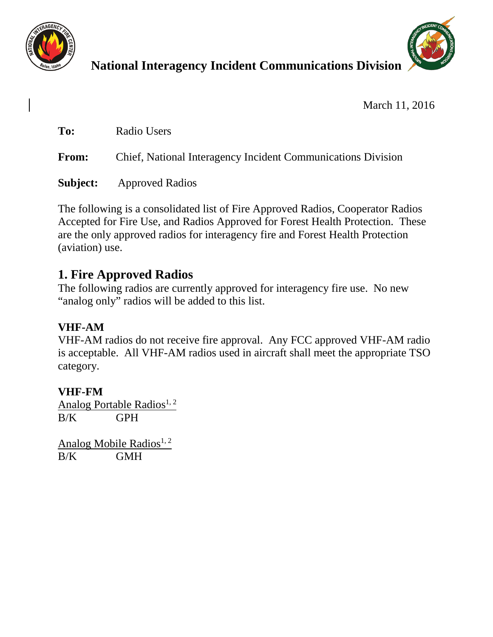



# **National Interagency Incident Communications Division**

March 11, 2016

**To:** Radio Users

**From:** Chief, National Interagency Incident Communications Division

**Subject:** Approved Radios

The following is a consolidated list of Fire Approved Radios, Cooperator Radios Accepted for Fire Use, and Radios Approved for Forest Health Protection. These are the only approved radios for interagency fire and Forest Health Protection (aviation) use.

## **1. Fire Approved Radios**

The following radios are currently approved for interagency fire use. No new "analog only" radios will be added to this list.

### **VHF-AM**

VHF-AM radios do not receive fire approval. Any FCC approved VHF-AM radio is acceptable. All VHF-AM radios used in aircraft shall meet the appropriate TSO category.

### **VHF-FM**

Analog Portable Radios<sup>1, 2</sup> B/K GPH

Analog Mobile Radios<sup>1, 2</sup> B/K GMH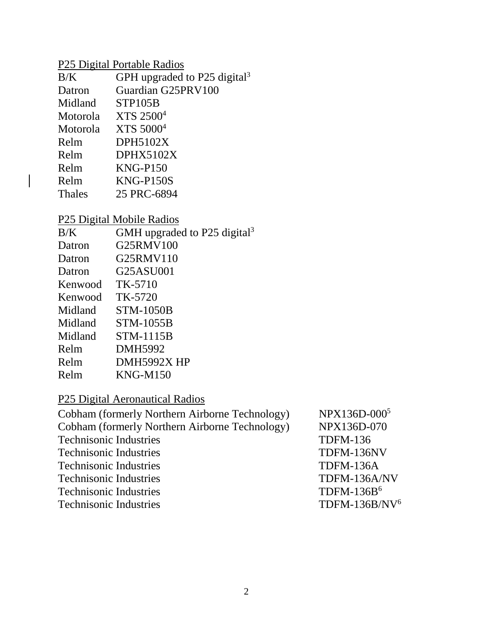### P25 Digital Portable Radios

| B/K           | GPH upgraded to P25 digital <sup>3</sup> |
|---------------|------------------------------------------|
| Datron        | Guardian G25PRV100                       |
| Midland       | STP105B                                  |
| Motorola      | XTS 2500 <sup>4</sup>                    |
| Motorola      | XTS 5000 <sup>4</sup>                    |
| Relm          | <b>DPH5102X</b>                          |
| Relm          | DPHX5102X                                |
| Relm          | $KNG-P150$                               |
| Relm          | <b>KNG-P150S</b>                         |
| <b>Thales</b> | 25 PRC-6894                              |
|               |                                          |

### P25 Digital Mobile Radios

 $\begin{array}{c} \rule{0pt}{2ex} \rule{0pt}{2ex} \rule{0pt}{2ex} \rule{0pt}{2ex} \rule{0pt}{2ex} \rule{0pt}{2ex} \rule{0pt}{2ex} \rule{0pt}{2ex} \rule{0pt}{2ex} \rule{0pt}{2ex} \rule{0pt}{2ex} \rule{0pt}{2ex} \rule{0pt}{2ex} \rule{0pt}{2ex} \rule{0pt}{2ex} \rule{0pt}{2ex} \rule{0pt}{2ex} \rule{0pt}{2ex} \rule{0pt}{2ex} \rule{0pt}{2ex} \rule{0pt}{2ex} \rule{0pt}{2ex} \rule{0pt}{2ex} \rule{0pt}{$ 

| B/K     | GMH upgraded to P25 digital <sup>3</sup> |
|---------|------------------------------------------|
| Datron  | G25RMV100                                |
| Datron  | G25RMV110                                |
| Datron  | G25ASU001                                |
| Kenwood | TK-5710                                  |
| Kenwood | TK-5720                                  |
| Midland | STM-1050B                                |
| Midland | STM-1055B                                |
| Midland | STM-1115B                                |
| Relm    | DMH5992                                  |
| Relm    | DMH5992X HP                              |
| Relm    | <b>KNG-M150</b>                          |
|         |                                          |

## P25 Digital Aeronautical Radios

| Cobham (formerly Northern Airborne Technology)<br><b>Technisonic Industries</b><br><b>Technisonic Industries</b><br><b>Technisonic Industries</b> |                           |
|---------------------------------------------------------------------------------------------------------------------------------------------------|---------------------------|
|                                                                                                                                                   | NPX136D-070               |
|                                                                                                                                                   | <b>TDFM-136</b>           |
|                                                                                                                                                   | TDFM-136NV                |
|                                                                                                                                                   | TDFM-136A                 |
| <b>Technisonic Industries</b>                                                                                                                     | TDFM-136A/NV              |
| <b>Technisonic Industries</b>                                                                                                                     | TDFM-136 $B6$             |
| <b>Technisonic Industries</b>                                                                                                                     | TDFM-136B/NV <sup>6</sup> |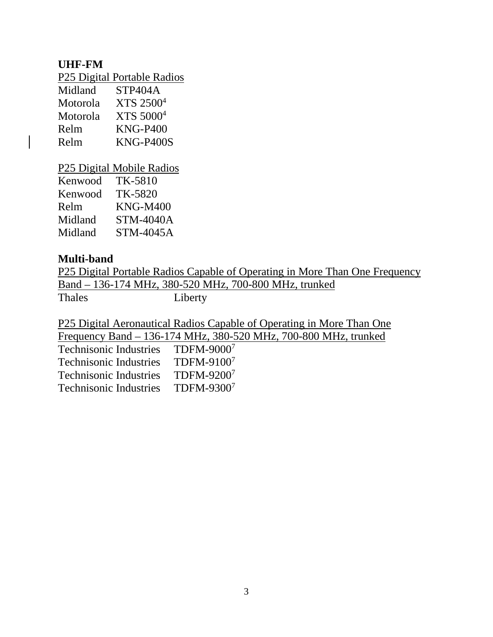#### **UHF-FM**

P25 Digital Portable Radios

| Midland  | STP404A               |
|----------|-----------------------|
| Motorola | XTS 2500 <sup>4</sup> |
| Motorola | XTS 5000 <sup>4</sup> |
| Relm     | <b>KNG-P400</b>       |
| Relm     | <b>KNG-P400S</b>      |
|          |                       |

P25 Digital Mobile Radios

| TK-5810          |
|------------------|
| TK-5820          |
| <b>KNG-M400</b>  |
| <b>STM-4040A</b> |
| STM-4045A        |
|                  |

#### **Multi-band**

P25 Digital Portable Radios Capable of Operating in More Than One Frequency Band – 136-174 MHz, 380-520 MHz, 700-800 MHz, trunked<br>Thales Liberty Liberty

P25 Digital Aeronautical Radios Capable of Operating in More Than One

Frequency Band – 136-174 MHz, 380-520 MHz, 700-800 MHz, trunked

| <b>Technisonic Industries</b> | TDFM-90007 |
|-------------------------------|------------|
| <b>Technisonic Industries</b> | TDFM-91007 |
| <b>Technisonic Industries</b> | TDFM-92007 |
| <b>Technisonic Industries</b> | TDFM-93007 |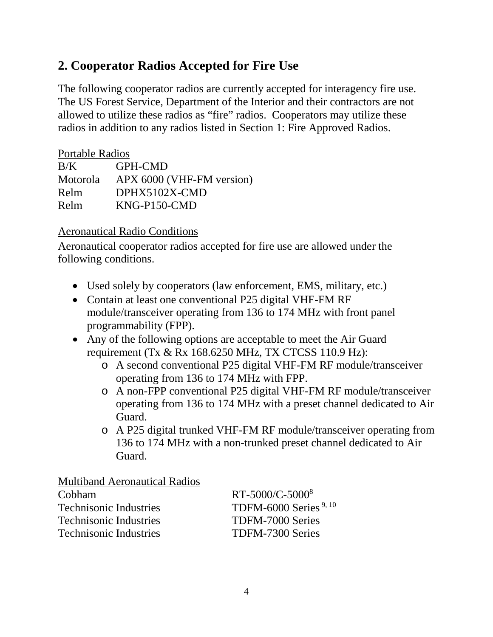### **2. Cooperator Radios Accepted for Fire Use**

The following cooperator radios are currently accepted for interagency fire use. The US Forest Service, Department of the Interior and their contractors are not allowed to utilize these radios as "fire" radios. Cooperators may utilize these radios in addition to any radios listed in Section 1: Fire Approved Radios.

### Portable Radios B/K GPH-CMD Motorola APX 6000 (VHF-FM version) Relm DPHX5102X-CMD Relm KNG-P150-CMD

#### Aeronautical Radio Conditions

Aeronautical cooperator radios accepted for fire use are allowed under the following conditions.

- Used solely by cooperators (law enforcement, EMS, military, etc.)
- Contain at least one conventional P25 digital VHF-FM RF module/transceiver operating from 136 to 174 MHz with front panel programmability (FPP).
- Any of the following options are acceptable to meet the Air Guard requirement (Tx & Rx 168.6250 MHz, TX CTCSS 110.9 Hz):
	- o A second conventional P25 digital VHF-FM RF module/transceiver operating from 136 to 174 MHz with FPP.
	- o A non-FPP conventional P25 digital VHF-FM RF module/transceiver operating from 136 to 174 MHz with a preset channel dedicated to Air Guard.
	- o A P25 digital trunked VHF-FM RF module/transceiver operating from 136 to 174 MHz with a non-trunked preset channel dedicated to Air Guard.

Multiband Aeronautical Radios

| Cobham                        | $RT-5000/C-50008$       |
|-------------------------------|-------------------------|
| <b>Technisonic Industries</b> | TDFM-6000 Series $9,10$ |
| <b>Technisonic Industries</b> | TDFM-7000 Series        |
| <b>Technisonic Industries</b> | TDFM-7300 Series        |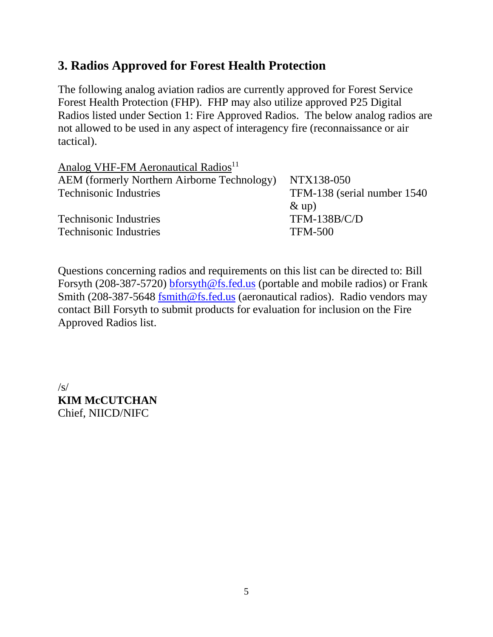### **3. Radios Approved for Forest Health Protection**

The following analog aviation radios are currently approved for Forest Service Forest Health Protection (FHP). FHP may also utilize approved P25 Digital Radios listed under Section 1: Fire Approved Radios. The below analog radios are not allowed to be used in any aspect of interagency fire (reconnaissance or air tactical).

| Analog VHF-FM Aeronautical Radios <sup>11</sup>    |                              |
|----------------------------------------------------|------------------------------|
| <b>AEM</b> (formerly Northern Airborne Technology) | NTX138-050                   |
| <b>Technisonic Industries</b>                      | TFM-138 (serial number 1540) |
|                                                    | $\&$ up)                     |
| <b>Technisonic Industries</b>                      | <b>TFM-138B/C/D</b>          |
| <b>Technisonic Industries</b>                      | <b>TFM-500</b>               |
|                                                    |                              |

Questions concerning radios and requirements on this list can be directed to: Bill Forsyth (208-387-5720) [bforsyth@fs.fed.us](mailto:bforsyth@fs.fed.us) (portable and mobile radios) or Frank Smith (208-387-5648 [fsmith@fs.fed.us](mailto:fsmith@fs.fed.us) (aeronautical radios). Radio vendors may contact Bill Forsyth to submit products for evaluation for inclusion on the Fire Approved Radios list.

 $\sqrt{s/}$ **KIM McCUTCHAN** Chief, NIICD/NIFC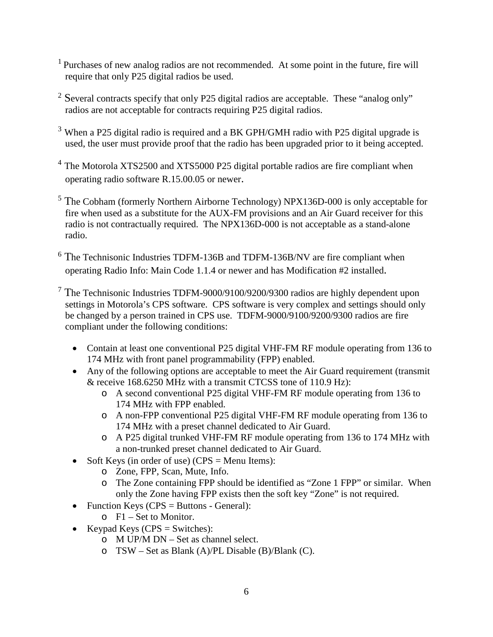- 1 Purchases of new analog radios are not recommended. At some point in the future, fire will require that only P25 digital radios be used.
- <sup>2</sup> Several contracts specify that only P25 digital radios are acceptable. These "analog only" radios are not acceptable for contracts requiring P25 digital radios.
- <sup>3</sup> When a P25 digital radio is required and a BK GPH/GMH radio with P25 digital upgrade is used, the user must provide proof that the radio has been upgraded prior to it being accepted.
- <sup>4</sup> The Motorola XTS2500 and XTS5000 P25 digital portable radios are fire compliant when operating radio software R.15.00.05 or newer.
- <sup>5</sup> The Cobham (formerly Northern Airborne Technology) NPX136D-000 is only acceptable for fire when used as a substitute for the AUX-FM provisions and an Air Guard receiver for this radio is not contractually required. The NPX136D-000 is not acceptable as a stand-alone radio.
- <sup>6</sup> The Technisonic Industries TDFM-136B and TDFM-136B/NV are fire compliant when operating Radio Info: Main Code 1.1.4 or newer and has Modification #2 installed.
- $7$  The Technisonic Industries TDFM-9000/9100/9200/9300 radios are highly dependent upon settings in Motorola's CPS software. CPS software is very complex and settings should only be changed by a person trained in CPS use. TDFM-9000/9100/9200/9300 radios are fire compliant under the following conditions:
	- Contain at least one conventional P25 digital VHF-FM RF module operating from 136 to 174 MHz with front panel programmability (FPP) enabled.
	- Any of the following options are acceptable to meet the Air Guard requirement (transmit) & receive 168.6250 MHz with a transmit CTCSS tone of 110.9 Hz):
		- o A second conventional P25 digital VHF-FM RF module operating from 136 to 174 MHz with FPP enabled.
		- o A non-FPP conventional P25 digital VHF-FM RF module operating from 136 to 174 MHz with a preset channel dedicated to Air Guard.
		- o A P25 digital trunked VHF-FM RF module operating from 136 to 174 MHz with a non-trunked preset channel dedicated to Air Guard.
	- Soft Keys (in order of use) ( $CPS =$  Menu Items):
		- o Zone, FPP, Scan, Mute, Info.
		- o The Zone containing FPP should be identified as "Zone 1 FPP" or similar. When only the Zone having FPP exists then the soft key "Zone" is not required.
	- Function Keys (CPS = Buttons General):
		- o F1 Set to Monitor.
	- Keypad Keys  $(CPS = Switches)$ :
		- o M UP/M DN Set as channel select.
		- o TSW Set as Blank (A)/PL Disable (B)/Blank (C).